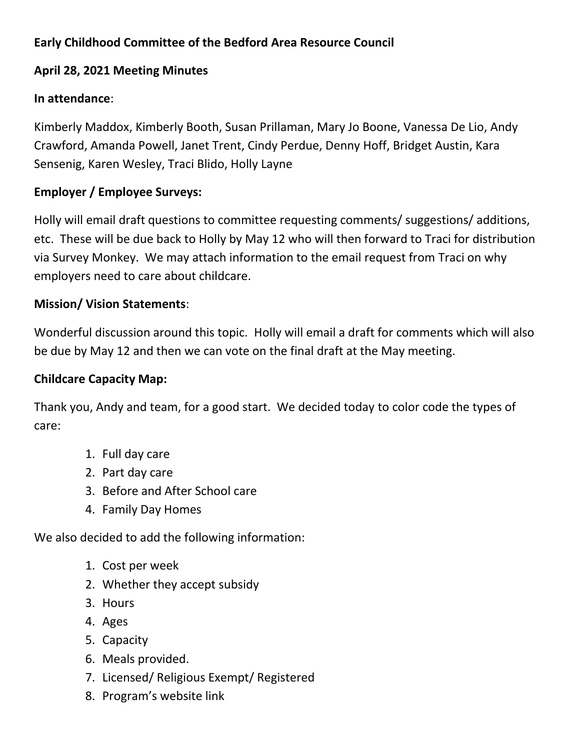## **Early Childhood Committee of the Bedford Area Resource Council**

## **April 28, 2021 Meeting Minutes**

## **In attendance**:

Kimberly Maddox, Kimberly Booth, Susan Prillaman, Mary Jo Boone, Vanessa De Lio, Andy Crawford, Amanda Powell, Janet Trent, Cindy Perdue, Denny Hoff, Bridget Austin, Kara Sensenig, Karen Wesley, Traci Blido, Holly Layne

# **Employer / Employee Surveys:**

Holly will email draft questions to committee requesting comments/ suggestions/ additions, etc. These will be due back to Holly by May 12 who will then forward to Traci for distribution via Survey Monkey. We may attach information to the email request from Traci on why employers need to care about childcare.

## **Mission/ Vision Statements**:

Wonderful discussion around this topic. Holly will email a draft for comments which will also be due by May 12 and then we can vote on the final draft at the May meeting.

### **Childcare Capacity Map:**

Thank you, Andy and team, for a good start. We decided today to color code the types of care:

- 1. Full day care
- 2. Part day care
- 3. Before and After School care
- 4. Family Day Homes

We also decided to add the following information:

- 1. Cost per week
- 2. Whether they accept subsidy
- 3. Hours
- 4. Ages
- 5. Capacity
- 6. Meals provided.
- 7. Licensed/ Religious Exempt/ Registered
- 8. Program's website link